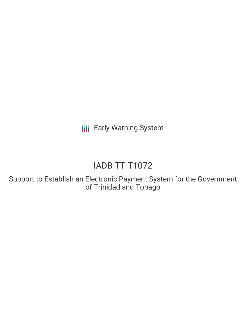**III** Early Warning System

# IADB-TT-T1072

Support to Establish an Electronic Payment System for the Government of Trinidad and Tobago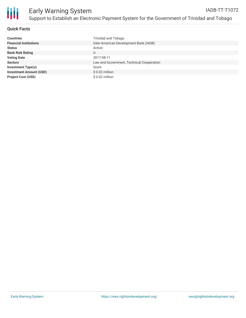

## **Quick Facts**

| <b>Countries</b>               | Trinidad and Tobago                       |
|--------------------------------|-------------------------------------------|
| <b>Financial Institutions</b>  | Inter-American Development Bank (IADB)    |
| <b>Status</b>                  | Active                                    |
| <b>Bank Risk Rating</b>        | U                                         |
| <b>Voting Date</b>             | 2017-08-11                                |
| <b>Sectors</b>                 | Law and Government, Technical Cooperation |
| <b>Investment Type(s)</b>      | Grant                                     |
| <b>Investment Amount (USD)</b> | $$0.02$ million                           |
| <b>Project Cost (USD)</b>      | \$0.02 million                            |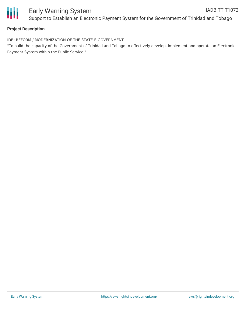

## **Project Description**

IDB: REFORM / MODERNIZATION OF THE STATE-E-GOVERNMENT

"To build the capacity of the Government of Trinidad and Tobago to effectively develop, implement and operate an Electronic Payment System within the Public Service."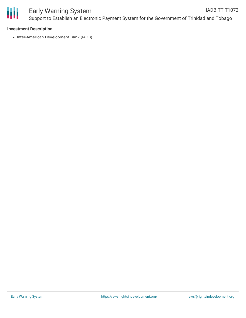

#### **Investment Description**

• Inter-American Development Bank (IADB)